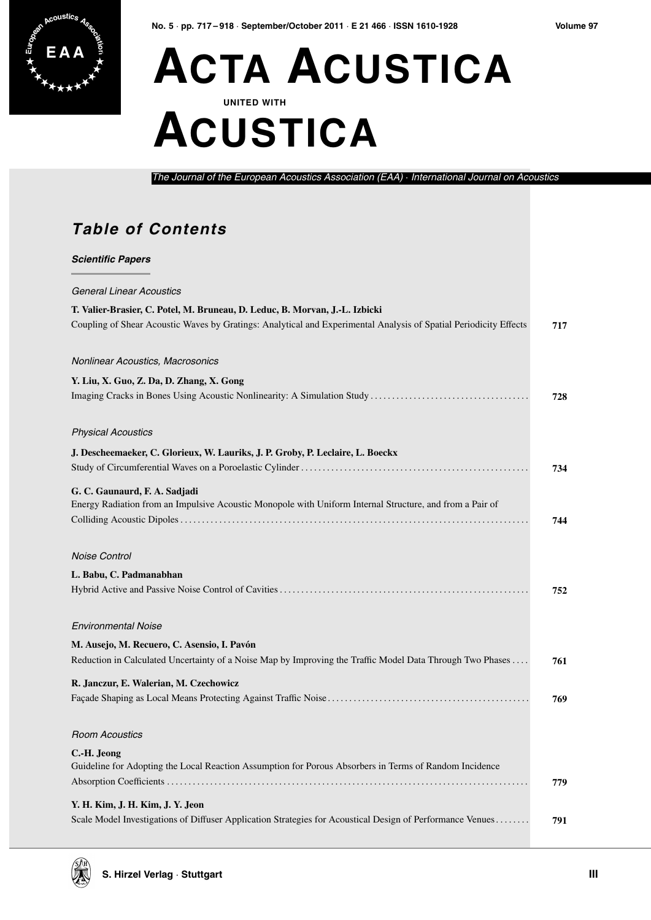

### **E A A ACTA ACUSTICA UNITED WITH ACUSTICA**

*The Journal of the European Acoustics Association (EAA)* · *International Journal on Acoustics*

#### **Table of Contents**

*Scientific Papers*

### *General Linear Acoustics* **T. Valier-Brasier, C. Potel, M. Bruneau, D. Leduc, B. Morvan, J.-L. Izbicki** Coupling of Shear Acoustic Waves by Gratings: Analytical and Experimental Analysis of Spatial Periodicity Effects **717** *Nonlinear Acoustics, Macrosonics* **Y. Liu, X. Guo, Z. Da, D. Zhang, X. Gong** Imaging Cracks in Bones Using Acoustic Nonlinearity: A Simulation Study . . . . . . . . . . . . . . . . . . . . . . . . . . . . . . . . . . . . . **728** *Physical Acoustics* **J. Descheemaeker, C. Glorieux, W. Lauriks, J. P. Groby, P. Leclaire, L. Boeckx** Study of Circumferential Waves on a Poroelastic Cylinder . . . . . . . . . . . . . . . . . . . . . . . . . . . . . . . . . . . . . . . . . . . . . . . . . . . . . **734 G. C. Gaunaurd, F. A. Sadjadi** Energy Radiation from an Impulsive Acoustic Monopole with Uniform Internal Structure, and from a Pair of Colliding Acoustic Dipoles . . . . . . . . . . . . . . . . . . . . . . . . . . . . . . . . . . . . . . . . . . . . . . . . . . . . . . . . . . . . . . . . . . . . . . . . . . . . . . . . . **744** *Noise Control* **L. Babu, C. Padmanabhan** Hybrid Active and Passive Noise Control of Cavities . . . . . . . . . . . . . . . . . . . . . . . . . . . . . . . . . . . . . . . . . . . . . . . . . . . . . . . . . . **752** *Environmental Noise* **M. Ausejo, M. Recuero, C. Asensio, I. Pavón** Reduction in Calculated Uncertainty of a Noise Map by Improving the Traffic Model Data Through Two Phases . . . . **761 R. Janczur, E. Walerian, M. Czechowicz** Façade Shaping as Local Means Protecting Against Traffic Noise . . . . . . . . . . . . . . . . . . . . . . . . . . . . . . . . . . . . . . . . . . . . . . . **769** *Room Acoustics* **C.-H. Jeong** Guideline for Adopting the Local Reaction Assumption for Porous Absorbers in Terms of Random Incidence Absorption Coefficients . . . . . . . . . . . . . . . . . . . . . . . . . . . . . . . . . . . . . . . . . . . . . . . . . . . . . . . . . . . . . . . . . . . . . . . . . . . . . . . . . . . . **779 Y. H. Kim, J. H. Kim, J. Y. Jeon** Scale Model Investigations of Diffuser Application Strategies for Acoustical Design of Performance Venues . . . . . . . . **791**

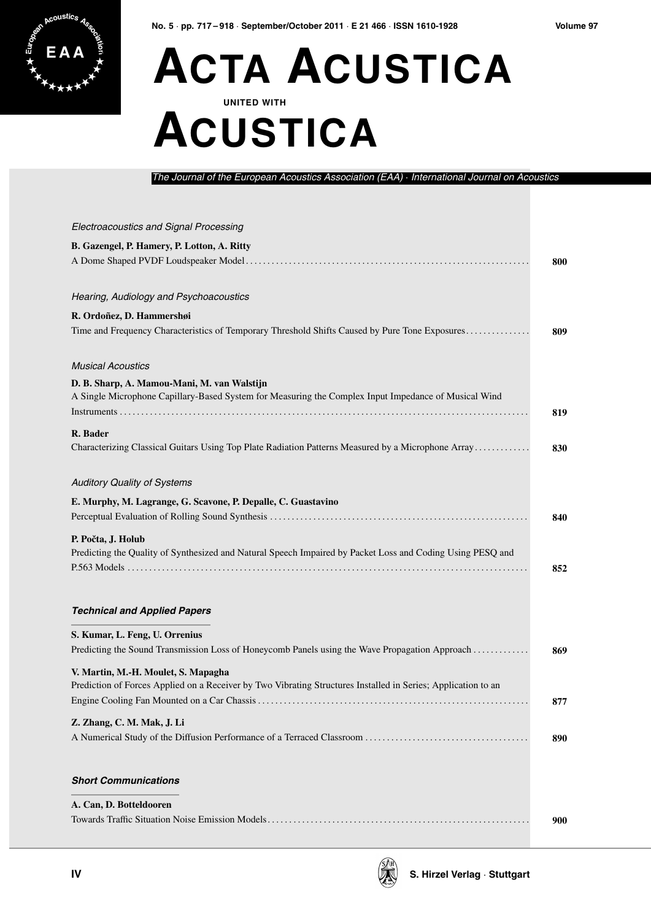

# **E A A ACTA ACUSTICA UNITED WITH ACUSTICA**

*The Journal of the European Acoustics Association (EAA)* · *International Journal on Acoustics*

| Electroacoustics and Signal Processing                                                                        |     |
|---------------------------------------------------------------------------------------------------------------|-----|
| B. Gazengel, P. Hamery, P. Lotton, A. Ritty                                                                   |     |
|                                                                                                               | 800 |
|                                                                                                               |     |
| Hearing, Audiology and Psychoacoustics                                                                        |     |
| R. Ordoñez, D. Hammershøi                                                                                     |     |
| Time and Frequency Characteristics of Temporary Threshold Shifts Caused by Pure Tone Exposures                | 809 |
| <b>Musical Acoustics</b>                                                                                      |     |
| D. B. Sharp, A. Mamou-Mani, M. van Walstijn                                                                   |     |
| A Single Microphone Capillary-Based System for Measuring the Complex Input Impedance of Musical Wind          |     |
|                                                                                                               | 819 |
| R. Bader                                                                                                      |     |
| Characterizing Classical Guitars Using Top Plate Radiation Patterns Measured by a Microphone Array            | 830 |
| <b>Auditory Quality of Systems</b>                                                                            |     |
| E. Murphy, M. Lagrange, G. Scavone, P. Depalle, C. Guastavino                                                 |     |
|                                                                                                               | 840 |
| P. Počta, J. Holub                                                                                            |     |
| Predicting the Quality of Synthesized and Natural Speech Impaired by Packet Loss and Coding Using PESQ and    |     |
|                                                                                                               | 852 |
|                                                                                                               |     |
| <b>Technical and Applied Papers</b>                                                                           |     |
| S. Kumar, L. Feng, U. Orrenius                                                                                |     |
| Predicting the Sound Transmission Loss of Honeycomb Panels using the Wave Propagation Approach                | 869 |
| V. Martin, M.-H. Moulet, S. Mapagha                                                                           |     |
| Prediction of Forces Applied on a Receiver by Two Vibrating Structures Installed in Series; Application to an |     |
|                                                                                                               | 877 |
| Z. Zhang, C. M. Mak, J. Li                                                                                    |     |
|                                                                                                               | 890 |
| <b>Short Communications</b>                                                                                   |     |
|                                                                                                               |     |
| A. Can, D. Botteldooren                                                                                       |     |
|                                                                                                               | 900 |